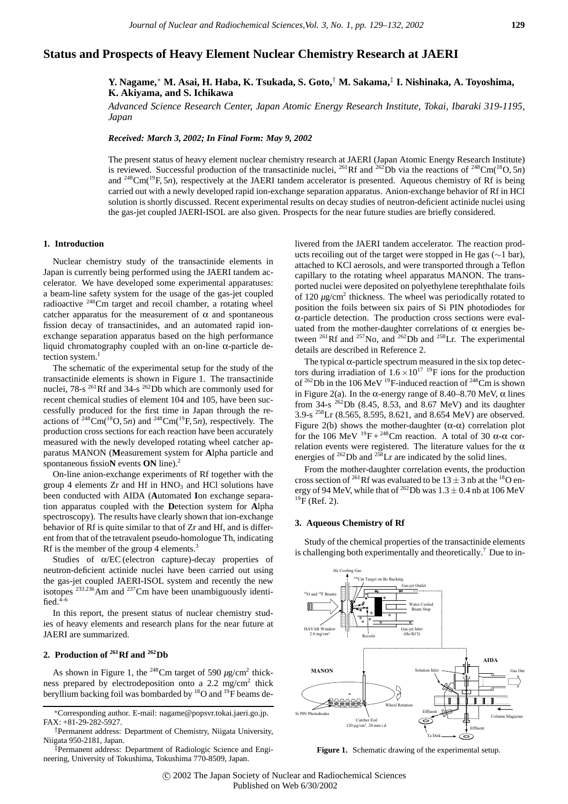# **Status and Prospects of Heavy Element Nuclear Chemistry Research at JAERI**

**Y. Nagame,**<sup>∗</sup> **M. Asai, H. Haba, K. Tsukada, S. Goto,**† **M. Sakama,**‡ **I. Nishinaka, A. Toyoshima, K. Akiyama, and S. Ichikawa**

*Advanced Science Research Center, Japan Atomic Energy Research Institute, Tokai, Ibaraki 319-1195, Japan*

*Received: March 3, 2002; In Final Form: May 9, 2002*

The present status of heavy element nuclear chemistry research at JAERI (Japan Atomic Energy Research Institute) is reviewed. Successful production of the transactinide nuclei, <sup>261</sup>Rf and <sup>262</sup>Db via the reactions of <sup>248</sup>Cm(<sup>18</sup>O, 5*n*) and <sup>248</sup>Cm(<sup>19</sup>F, 5*n*), respectively at the JAERI tandem accelerator is presented. Aqueous chemistry of Rf is being carried out with a newly developed rapid ion-exchange separation apparatus. Anion-exchange behavior of Rf in HCl solution is shortly discussed. Recent experimental results on decay studies of neutron-deficient actinide nuclei using the gas-jet coupled JAERI-ISOL are also given. Prospects for the near future studies are briefly considered.

#### **1. Introduction**

Nuclear chemistry study of the transactinide elements in Japan is currently being performed using the JAERI tandem accelerator. We have developed some experimental apparatuses: a beam-line safety system for the usage of the gas-jet coupled radioactive 248Cm target and recoil chamber, a rotating wheel catcher apparatus for the measurement of  $\alpha$  and spontaneous fission decay of transactinides, and an automated rapid ionexchange separation apparatus based on the high performance liquid chromatography coupled with an on-line α-particle detection system.<sup>1</sup>

The schematic of the experimental setup for the study of the transactinide elements is shown in Figure 1. The transactinide nuclei, 78-s  $^{261}$ Rf and 34-s  $^{262}$ Db which are commonly used for recent chemical studies of element 104 and 105, have been successfully produced for the first time in Japan through the reactions of  $^{248}$ Cm( $^{18}$ O, 5*n*) and  $^{248}$ Cm( $^{19}$ F, 5*n*), respectively. The production cross sections for each reaction have been accurately measured with the newly developed rotating wheel catcher apparatus MANON (**M**easurement system for **A**lpha particle and spontaneous fissio**N** events **ON** line).2

On-line anion-exchange experiments of Rf together with the group 4 elements  $Zr$  and  $Hf$  in  $HNO<sub>3</sub>$  and  $HCl$  solutions have been conducted with AIDA (**A**utomated **I**on exchange separation apparatus coupled with the **D**etection system for **A**lpha spectroscopy). The results have clearly shown that ion-exchange behavior of Rf is quite similar to that of Zr and Hf, and is different from that of the tetravalent pseudo-homologue Th, indicating Rf is the member of the group 4 elements.<sup>3</sup>

Studies of α/EC (electron capture)-decay properties of neutron-deficient actinide nuclei have been carried out using the gas-jet coupled JAERI-ISOL system and recently the new isotopes <sup>233,236</sup>Am and <sup>237</sup>Cm have been unambiguously identified. $4-6$ 

In this report, the present status of nuclear chemistry studies of heavy elements and research plans for the near future at JAERI are summarized.

# **2. Production of 261Rf and 262Db**

As shown in Figure 1, the <sup>248</sup>Cm target of 590  $\mu$ g/cm<sup>2</sup> thickness prepared by electrodeposition onto a 2.2 mg/cm2 thick beryllium backing foil was bombarded by <sup>18</sup>O and <sup>19</sup>F beams de-

‡Permanent address: Department of Radiologic Science and Engineering, University of Tokushima, Tokushima 770-8509, Japan.

livered from the JAERI tandem accelerator. The reaction products recoiling out of the target were stopped in He gas  $(\sim 1 \text{ bar})$ , attached to KCl aerosols, and were transported through a Teflon capillary to the rotating wheel apparatus MANON. The transported nuclei were deposited on polyethylene terephthalate foils of  $120 \mu g/cm^2$  thickness. The wheel was periodically rotated to position the foils between six pairs of Si PIN photodiodes for α-particle detection. The production cross sections were evaluated from the mother-daughter correlations of  $\alpha$  energies between <sup>261</sup>Rf and <sup>257</sup>No, and <sup>262</sup>Db and <sup>258</sup>Lr. The experimental details are described in Reference 2.

The typical  $\alpha$ -particle spectrum measured in the six top detectors during irradiation of  $1.6 \times 10^{17}$  <sup>19</sup>F ions for the production of  $^{262}$ Db in the 106 MeV <sup>19</sup>F-induced reaction of  $^{248}$ Cm is shown in Figure 2(a). In the  $\alpha$ -energy range of 8.40–8.70 MeV,  $\alpha$  lines from  $34\text{-s}$   $^{262}$ Db (8.45, 8.53, and 8.67 MeV) and its daughter  $3.9\text{-s}$   $^{258}\text{Lr}$  (8.565, 8.595, 8.621, and 8.654 MeV) are observed. Figure 2(b) shows the mother-daughter  $(\alpha-\alpha)$  correlation plot for the 106 MeV  $^{19}F + ^{248}Cm$  reaction. A total of 30  $\alpha$ - $\alpha$  correlation events were registered. The literature values for the  $\alpha$ energies of  $262$  Db and  $258$  Lr are indicated by the solid lines.

From the mother-daughter correlation events, the production cross section of <sup>261</sup>Rf was evaluated to be  $13 \pm 3$  nb at the <sup>18</sup>O energy of 94 MeV, while that of <sup>262</sup>Db was  $1.3 \pm 0.4$  nb at 106 MeV <sup>19</sup>F (Ref. 2).

#### **3. Aqueous Chemistry of Rf**

Study of the chemical properties of the transactinide elements is challenging both experimentally and theoretically.<sup>7</sup> Due to in-



Figure 1. Schematic drawing of the experimental setup.

<sup>∗</sup>Corresponding author. E-mail: nagame@popsvr.tokai.jaeri.go.jp. FAX: +81-29-282-5927.

<sup>†</sup>Permanent address: Department of Chemistry, Niigata University, Niigata 950-2181, Japan.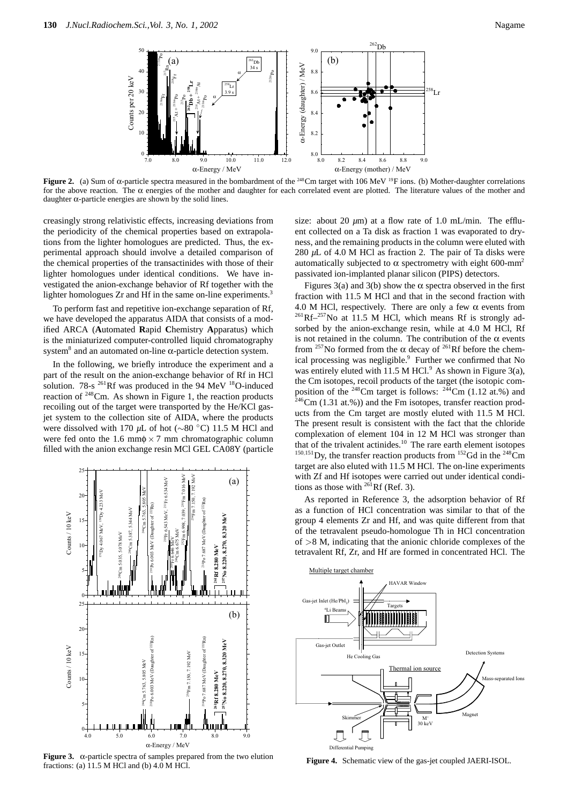

**Figure 2.** (a) Sum of  $\alpha$ -particle spectra measured in the bombardment of the <sup>248</sup>Cm target with 106 MeV <sup>19</sup>F ions. (b) Mother-daughter correlations for the above reaction. The  $\alpha$  energies of the mother and daughter for each correlated event are plotted. The literature values of the mother and daughter  $\alpha$ -particle energies are shown by the solid lines.

creasingly strong relativistic effects, increasing deviations from the periodicity of the chemical properties based on extrapolations from the lighter homologues are predicted. Thus, the experimental approach should involve a detailed comparison of the chemical properties of the transactinides with those of their lighter homologues under identical conditions. We have investigated the anion-exchange behavior of Rf together with the lighter homologues Zr and Hf in the same on-line experiments.<sup>3</sup>

To perform fast and repetitive ion-exchange separation of Rf, we have developed the apparatus AIDA that consists of a modified ARCA (**A**utomated **R**apid **C**hemistry **A**pparatus) which is the miniaturized computer-controlled liquid chromatography system<sup>8</sup> and an automated on-line α-particle detection system.

In the following, we briefly introduce the experiment and a part of the result on the anion-exchange behavior of Rf in HCl solution. 78-s  $^{261}$ Rf was produced in the 94 MeV  $^{18}$ O-induced reaction of  $248$ Cm. As shown in Figure 1, the reaction products recoiling out of the target were transported by the He/KCl gasjet system to the collection site of AIDA, where the products were dissolved with 170 *µ*L of hot (∼80 ◦C) 11.5 M HCl and were fed onto the 1.6 mm $\phi \times 7$  mm chromatographic column filled with the anion exchange resin MCl GEL CA08Y (particle



**Figure 3.** α-particle spectra of samples prepared from the two elution fractions: (a) 11.5 M HCl and (b) 4.0 M HCl.

size: about 20  $\mu$ m) at a flow rate of 1.0 mL/min. The effluent collected on a Ta disk as fraction 1 was evaporated to dryness, and the remaining products in the column were eluted with 280 *µ*L of 4.0 M HCl as fraction 2. The pair of Ta disks were automatically subjected to α spectrometry with eight 600-mm<sup>2</sup> passivated ion-implanted planar silicon (PIPS) detectors.

Figures 3(a) and 3(b) show the  $\alpha$  spectra observed in the first fraction with 11.5 M HCl and that in the second fraction with 4.0 M HCl, respectively. There are only a few  $\alpha$  events from  $^{261}$ Rf $-^{257}$ No at 11.5 M HCl, which means Rf is strongly adsorbed by the anion-exchange resin, while at 4.0 M HCl, Rf is not retained in the column. The contribution of the  $\alpha$  events from <sup>257</sup>No formed from the  $\alpha$  decay of <sup>261</sup>Rf before the chemical processing was negligible.<sup>9</sup> Further we confirmed that No was entirely eluted with 11.5 M HCl. $9$  As shown in Figure 3(a), the Cm isotopes, recoil products of the target (the isotopic composition of the  $^{248}$ Cm target is follows:  $^{244}$ Cm (1.12 at.%) and  $246$ Cm (1.31 at.%)) and the Fm isotopes, transfer reaction products from the Cm target are mostly eluted with 11.5 M HCl. The present result is consistent with the fact that the chloride complexation of element 104 in 12 M HCl was stronger than that of the trivalent actinides.<sup>10</sup> The rare earth element isotopes <sup>150,151</sup>Dy, the transfer reaction products from <sup>152</sup>Gd in the <sup>248</sup>Cm target are also eluted with 11.5 M HCl. The on-line experiments with Zf and Hf isotopes were carried out under identical conditions as those with  $^{261}$ Rf (Ref. 3).

As reported in Reference 3, the adsorption behavior of Rf as a function of HCl concentration was similar to that of the group 4 elements Zr and Hf, and was quite different from that of the tetravalent pseudo-homologue Th in HCl concentration of *>*8 M, indicating that the anionic chloride complexes of the tetravalent Rf, Zr, and Hf are formed in concentrated HCl. The



**Figure 4.** Schematic view of the gas-jet coupled JAERI-ISOL.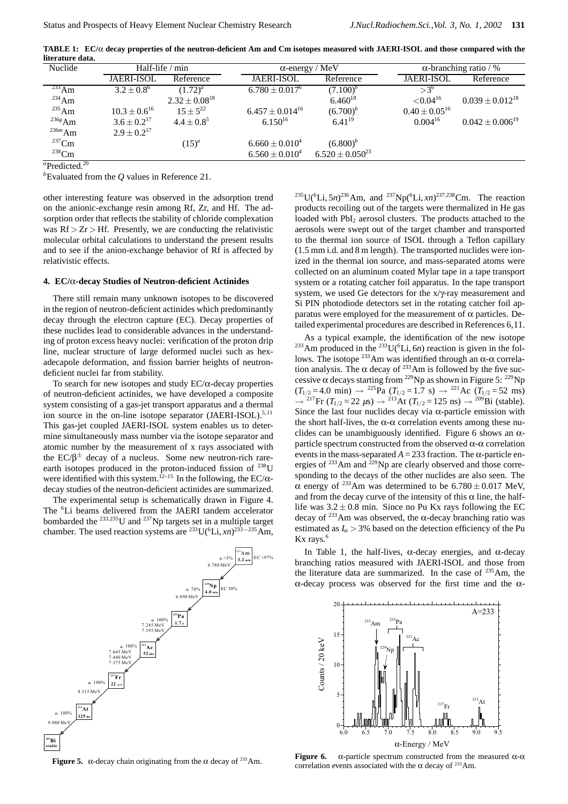**TABLE 1: EC/**α **decay properties of the neutron-deficient Am and Cm isotopes measured with JAERI-ISOL and those compared with the literature data.**

| Nuclide     | Half-life / min     |                      | $\alpha$ -energy / MeV |                        | $\alpha$ -branching ratio / % |                        |
|-------------|---------------------|----------------------|------------------------|------------------------|-------------------------------|------------------------|
|             | <b>JAERI-ISOL</b>   | Reference            | <b>JAERI-ISOL</b>      | Reference              | <b>JAERI-ISOL</b>             | Reference              |
| $^{233}$ Am | $3.2 + 0.8^6$       | $(1.72)^{a}$         | $6.780 \pm 0.017^6$    | $(7.100)^b$            | $>3^{6}$                      |                        |
| $^{234}$ Am |                     | $2.32 \pm 0.08^{18}$ |                        | $6.460^{18}$           | ${<}0.04^{16}$                | $0.039 \pm 0.012^{18}$ |
| $^{235}$ Am | $10.3 \pm 0.6^{16}$ | $15+5^{22}$          | $6.457 \pm 0.014^{16}$ | $(6.700)^b$            | $0.40 \pm 0.05^{16}$          |                        |
| $236g$ Am   | $3.6 + 0.2^{17}$    | $4.4 \pm 0.8^{5}$    | $6.150^{16}$           | $6.41^{19}$            | $0.004^{16}$                  | $0.042 \pm 0.006^{19}$ |
| $236m$ Am   | $2.9 \pm 0.2^{17}$  |                      |                        |                        |                               |                        |
| $237$ Cm    |                     | $(15)^{a}$           | $6.660 \pm 0.010^4$    | $(6.800)^b$            |                               |                        |
| $238$ Cm    |                     |                      | $6.560 \pm 0.010^4$    | $6.520 \pm 0.050^{23}$ |                               |                        |
|             |                     |                      |                        |                        |                               |                        |

<sup>a</sup>Predicted.<sup>20</sup>

*b* Evaluated from the *Q* values in Reference 21.

other interesting feature was observed in the adsorption trend on the anionic-exchange resin among Rf, Zr, and Hf. The adsorption order that reflects the stability of chloride complexation was  $Rf > Zr > Hf$ . Presently, we are conducting the relativistic molecular orbital calculations to understand the present results and to see if the anion-exchange behavior of Rf is affected by relativistic effects.

## **4. EC/**α**-decay Studies of Neutron-deficient Actinides**

There still remain many unknown isotopes to be discovered in the region of neutron-deficient actinides which predominantly decay through the electron capture (EC). Decay properties of these nuclides lead to considerable advances in the understanding of proton excess heavy nuclei: verification of the proton drip line, nuclear structure of large deformed nuclei such as hexadecapole deformation, and fission barrier heights of neutrondeficient nuclei far from stability.

To search for new isotopes and study EC/α-decay properties of neutron-deficient actinides, we have developed a composite system consisting of a gas-jet transport apparatus and a thermal ion source in the on-line isotope separator  $(JAERI-ISOL).<sup>5,11</sup>$ This gas-jet coupled JAERI-ISOL system enables us to determine simultaneously mass number via the isotope separator and atomic number by the measurement of x rays associated with the  $EC/\beta^{\pm}$  decay of a nucleus. Some new neutron-rich rareearth isotopes produced in the proton-induced fission of  $^{238}$ U were identified with this system.<sup>12–15</sup> In the following, the EC/ $\alpha$ decay studies of the neutron-deficient actinides are summarized.

The experimental setup is schematically drawn in Figure 4. The <sup>6</sup>Li beams delivered from the JAERI tandem accelerator bombarded the <sup>233</sup>*,*235U and 237Np targets set in a multiple target chamber. The used reaction systems are <sup>233</sup>U(<sup>6</sup>Li, *xn*)<sup>233−235</sup>Am,



**Figure 5.** α-decay chain originating from the α decay of <sup>233</sup>Am.

 $^{235}$ U(<sup>6</sup>Li, 5*n*)<sup>236</sup>Am, and <sup>237</sup>Np(<sup>6</sup>Li, *xn*)<sup>237,238</sup>Cm. The reaction products recoiling out of the targets were thermalized in He gas loaded with PbI<sub>2</sub> aerosol clusters. The products attached to the aerosols were swept out of the target chamber and transported to the thermal ion source of ISOL through a Teflon capillary (1.5 mm i.d. and 8 m length). The transported nuclides were ionized in the thermal ion source, and mass-separated atoms were collected on an aluminum coated Mylar tape in a tape transport system or a rotating catcher foil apparatus. In the tape transport system, we used Ge detectors for the x/γ-ray measurement and Si PIN photodiode detectors set in the rotating catcher foil apparatus were employed for the measurement of α particles. Detailed experimental procedures are described in References 6,11.

As a typical example, the identification of the new isotope <sup>233</sup>Am produced in the <sup>233</sup>U( ${}^{6}$ Li, 6*n*) reaction is given in the follows. The isotope <sup>233</sup>Am was identified through an α-α correlation analysis. The  $\alpha$  decay of <sup>233</sup>Am is followed by the five successive  $\alpha$  decays starting from <sup>229</sup>Np as shown in Figure 5: <sup>229</sup>Np  $(T_{1/2} = 4.0 \text{ min}) \rightarrow {}^{225}\text{Pa} (T_{1/2} = 1.7 \text{ s}) \rightarrow {}^{221}\text{Ac} (T_{1/2} = 52 \text{ ms})$  $\rightarrow$  <sup>217</sup>Fr (*T*<sub>1/2</sub> = 22 µs)  $\rightarrow$  <sup>213</sup>At (*T*<sub>1/2</sub> = 125 ns)  $\rightarrow$  <sup>209</sup>Bi (stable). Since the last four nuclides decay via  $\alpha$ -particle emission with the short half-lives, the  $\alpha$ - $\alpha$  correlation events among these nuclides can be unambiguously identified. Figure 6 shows an  $\alpha$ particle spectrum constructed from the observed α-α correlation events in the mass-separated  $A = 233$  fraction. The  $\alpha$ -particle energies of  $^{233}$ Am and  $^{229}$ Np are clearly observed and those corresponding to the decays of the other nuclides are also seen. The  $\alpha$  energy of <sup>233</sup>Am was determined to be 6.780 ± 0.017 MeV, and from the decay curve of the intensity of this  $\alpha$  line, the halflife was  $3.2 \pm 0.8$  min. Since no Pu Kx rays following the EC decay of  $^{233}$ Am was observed, the  $\alpha$ -decay branching ratio was estimated as  $I_{\alpha}$  > 3% based on the detection efficiency of the Pu  $Kx$  rays.<sup>6</sup>

In Table 1, the half-lives,  $\alpha$ -decay energies, and  $\alpha$ -decay branching ratios measured with JAERI-ISOL and those from the literature data are summarized. In the case of  $235$  Am, the α-decay process was observed for the first time and the α-



**Figure 6.**  $\alpha$ -particle spectrum constructed from the measured  $\alpha$ - $\alpha$ correlation events associated with the  $\alpha$  decay of <sup>233</sup>Am.